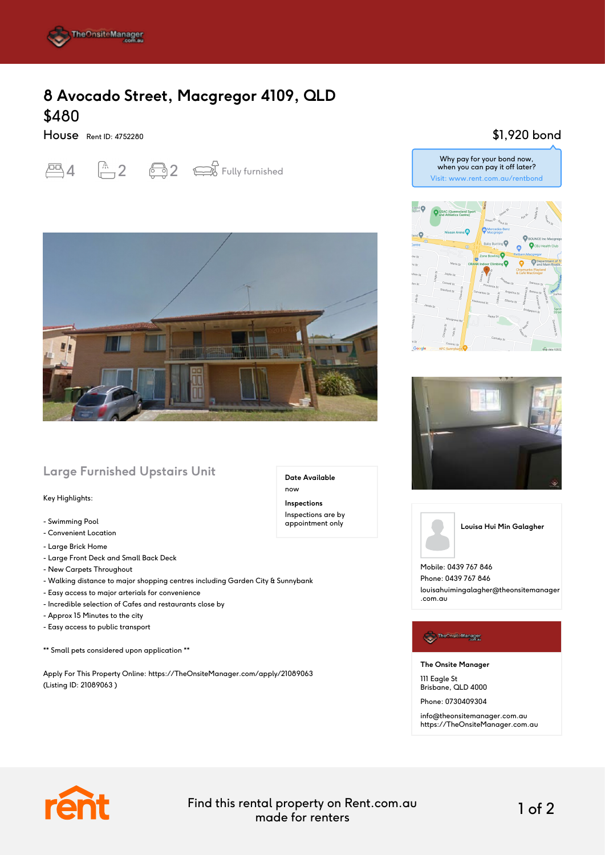

## **8 Avocado Street, Macgregor 4109, QLD** \$480

House Rent ID: 4752280





## **Large Furnished Upstairs Unit**

#### Key Highlights:

- Swimming Pool
- Convenient Location
- Large Brick Home
- Large Front Deck and Small Back Deck
- New Carpets Throughout
- Walking distance to major shopping centres including Garden City & Sunnybank
- Easy access to major arterials for convenience
- Incredible selection of Cafes and restaurants close by
- Approx 15 Minutes to the city
- Easy access to public transport

\*\* Small pets considered upon application \*\*

Apply For This Property Online: https://TheOnsiteManager.com/apply/21089063 (Listing ID: 21089063 )

\$1,920 bond







**Louisa Hui Min Galagher**

Mobile: 0439 767 846 Phone: 0439 767 846 louisahuimingalagher@theonsitemanager .com.au

### The Onsite Manager

**The Onsite Manager**

111 Eagle St Brisbane, QLD 4000

Phone: 0730409304

info@theonsitemanager.com.au https://TheOnsiteManager.com.au



Find this rental property on Rent.com.au made for renters 1 of 2

**Date Available**

now **Inspections** Inspections are by appointment only